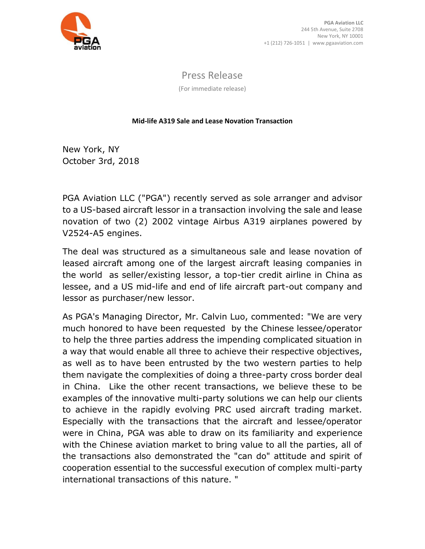

**PGA Aviation LLC** 244 5th Avenue, Suite 2708 New York, NY 10001 +1 (212) 726-1051 | www.pgaaviation.com

Press Release (For immediate release)

## **Mid-life A319 Sale and Lease Novation Transaction**

New York, NY October 3rd, 2018

PGA Aviation LLC ("PGA") recently served as sole arranger and advisor to a US-based aircraft lessor in a transaction involving the sale and lease novation of two (2) 2002 vintage Airbus A319 airplanes powered by V2524-A5 engines.

The deal was structured as a simultaneous sale and lease novation of leased aircraft among one of the largest aircraft leasing companies in the world as seller/existing lessor, a top-tier credit airline in China as lessee, and a US mid-life and end of life aircraft part-out company and lessor as purchaser/new lessor.

As PGA's Managing Director, Mr. Calvin Luo, commented: "We are very much honored to have been requested by the Chinese lessee/operator to help the three parties address the impending complicated situation in a way that would enable all three to achieve their respective objectives, as well as to have been entrusted by the two western parties to help them navigate the complexities of doing a three-party cross border deal in China. Like the other recent transactions, we believe these to be examples of the innovative multi-party solutions we can help our clients to achieve in the rapidly evolving PRC used aircraft trading market. Especially with the transactions that the aircraft and lessee/operator were in China, PGA was able to draw on its familiarity and experience with the Chinese aviation market to bring value to all the parties, all of the transactions also demonstrated the "can do" attitude and spirit of cooperation essential to the successful execution of complex multi-party international transactions of this nature. "